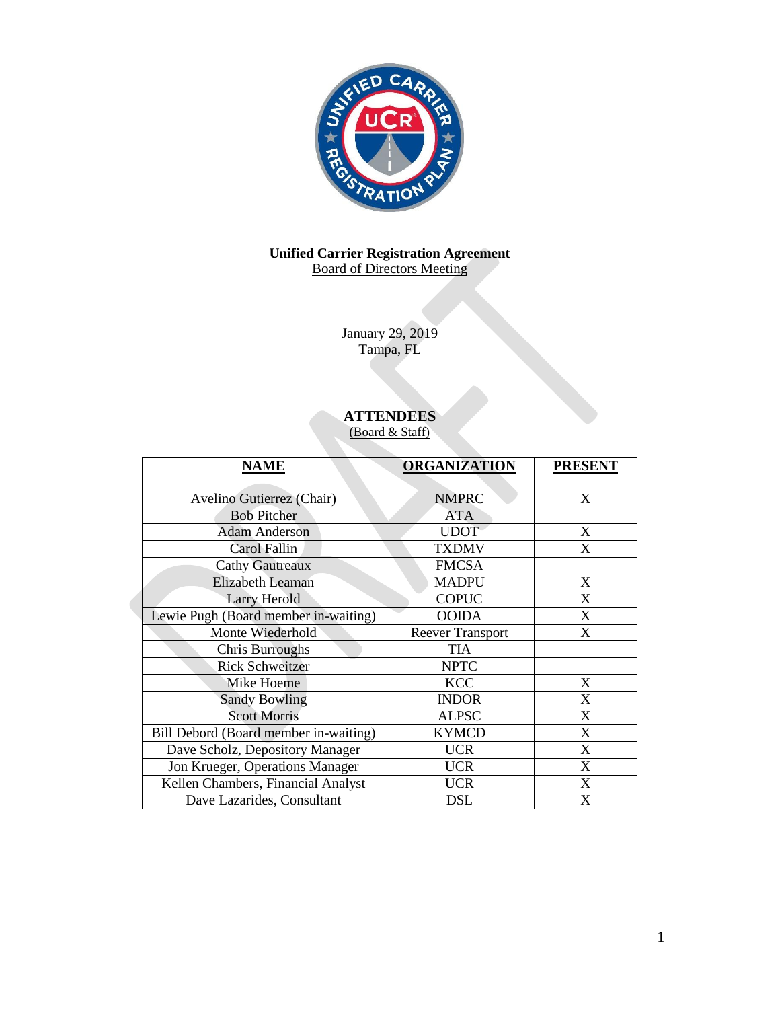

# **Unified Carrier Registration Agreement** Board of Directors Meeting

January 29, 2019 Tampa, FL

# **ATTENDEES**

(Board & Staff)

| <b>NAME</b>                           | <b>ORGANIZATION</b>     | <b>PRESENT</b> |
|---------------------------------------|-------------------------|----------------|
|                                       |                         |                |
| Avelino Gutierrez (Chair)             | <b>NMPRC</b>            | X              |
| <b>Bob Pitcher</b>                    | <b>ATA</b>              |                |
| <b>Adam Anderson</b>                  | <b>UDOT</b>             | X              |
| Carol Fallin                          | <b>TXDMV</b>            | X              |
| <b>Cathy Gautreaux</b>                | <b>FMCSA</b>            |                |
| <b>Elizabeth Leaman</b>               | <b>MADPU</b>            | X              |
| <b>Larry Herold</b>                   | <b>COPUC</b>            | X              |
| Lewie Pugh (Board member in-waiting)  | <b>OOIDA</b>            | X              |
| Monte Wiederhold                      | <b>Reever Transport</b> | X              |
| <b>Chris Burroughs</b>                | <b>TIA</b>              |                |
| <b>Rick Schweitzer</b>                | <b>NPTC</b>             |                |
| Mike Hoeme                            | <b>KCC</b>              | X              |
| <b>Sandy Bowling</b>                  | <b>INDOR</b>            | X              |
| <b>Scott Morris</b>                   | <b>ALPSC</b>            | X              |
| Bill Debord (Board member in-waiting) | <b>KYMCD</b>            | X              |
| Dave Scholz, Depository Manager       | <b>UCR</b>              | X              |
| Jon Krueger, Operations Manager       | <b>UCR</b>              | X              |
| Kellen Chambers, Financial Analyst    | <b>UCR</b>              | X              |
| Dave Lazarides, Consultant            | <b>DSL</b>              | X              |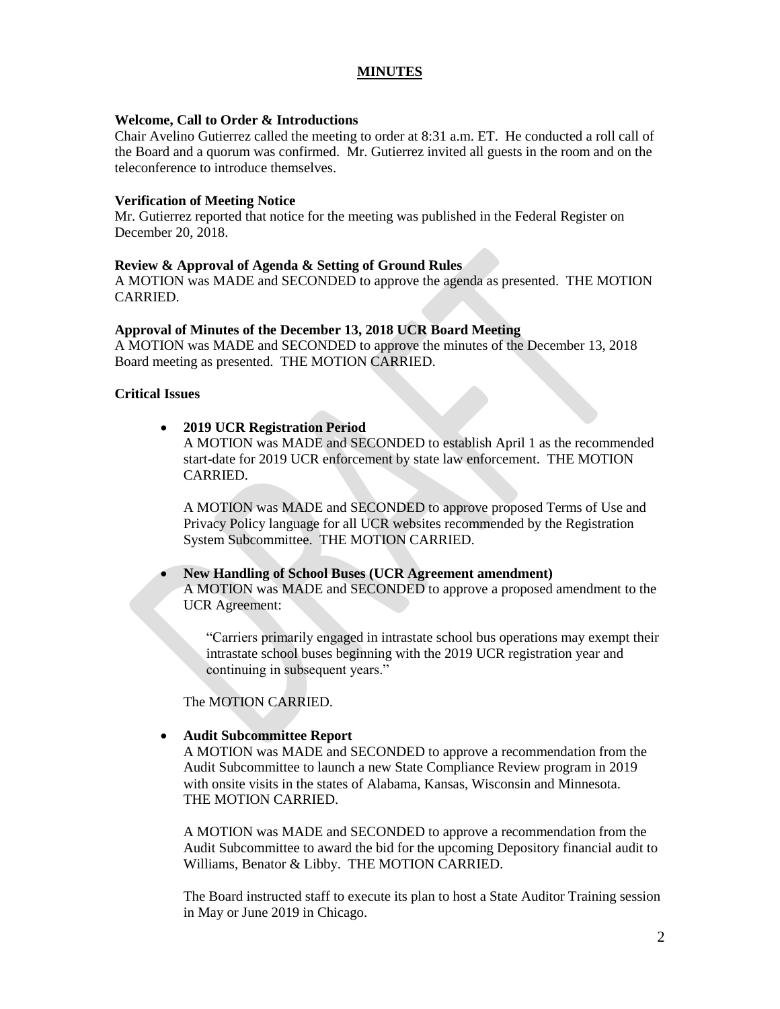# **MINUTES**

#### **Welcome, Call to Order & Introductions**

Chair Avelino Gutierrez called the meeting to order at 8:31 a.m. ET. He conducted a roll call of the Board and a quorum was confirmed. Mr. Gutierrez invited all guests in the room and on the teleconference to introduce themselves.

# **Verification of Meeting Notice**

Mr. Gutierrez reported that notice for the meeting was published in the Federal Register on December 20, 2018.

# **Review & Approval of Agenda & Setting of Ground Rules**

A MOTION was MADE and SECONDED to approve the agenda as presented. THE MOTION CARRIED.

# **Approval of Minutes of the December 13, 2018 UCR Board Meeting**

A MOTION was MADE and SECONDED to approve the minutes of the December 13, 2018 Board meeting as presented. THE MOTION CARRIED.

# **Critical Issues**

# **2019 UCR Registration Period**

A MOTION was MADE and SECONDED to establish April 1 as the recommended start-date for 2019 UCR enforcement by state law enforcement. THE MOTION CARRIED.

A MOTION was MADE and SECONDED to approve proposed Terms of Use and Privacy Policy language for all UCR websites recommended by the Registration System Subcommittee. THE MOTION CARRIED.

# **New Handling of School Buses (UCR Agreement amendment)**  A MOTION was MADE and SECONDED to approve a proposed amendment to the UCR Agreement:

"Carriers primarily engaged in intrastate school bus operations may exempt their intrastate school buses beginning with the 2019 UCR registration year and continuing in subsequent years."

The MOTION CARRIED.

# **Audit Subcommittee Report**

A MOTION was MADE and SECONDED to approve a recommendation from the Audit Subcommittee to launch a new State Compliance Review program in 2019 with onsite visits in the states of Alabama, Kansas, Wisconsin and Minnesota. THE MOTION CARRIED.

A MOTION was MADE and SECONDED to approve a recommendation from the Audit Subcommittee to award the bid for the upcoming Depository financial audit to Williams, Benator & Libby. THE MOTION CARRIED.

The Board instructed staff to execute its plan to host a State Auditor Training session in May or June 2019 in Chicago.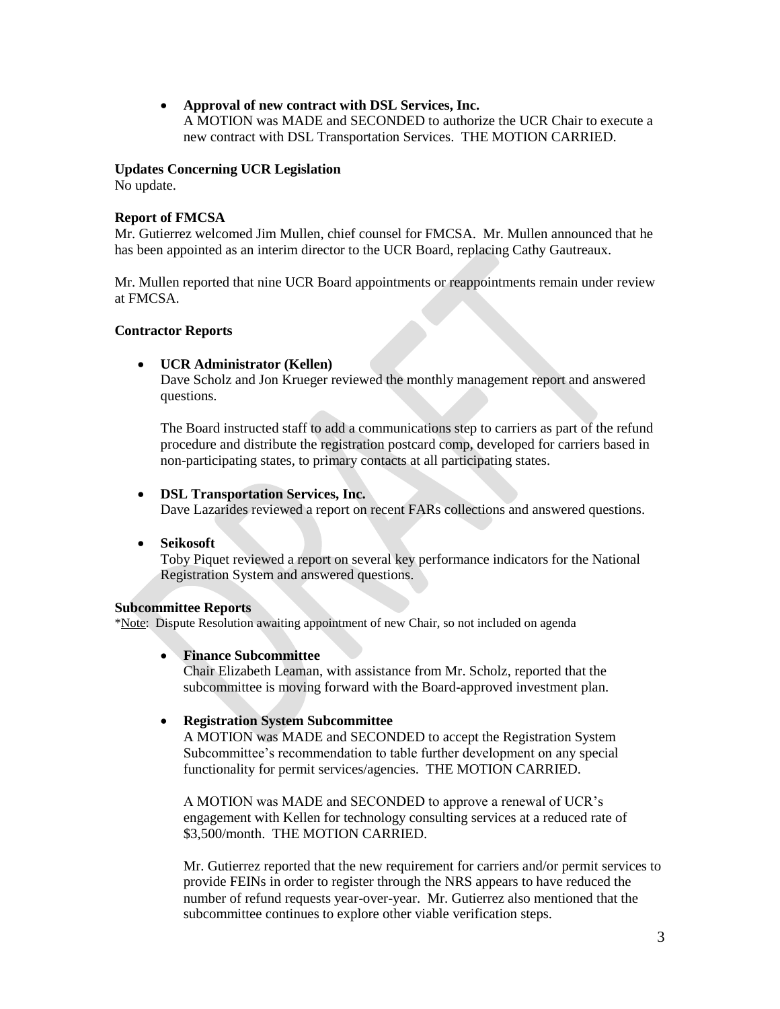**Approval of new contract with DSL Services, Inc.** 

A MOTION was MADE and SECONDED to authorize the UCR Chair to execute a new contract with DSL Transportation Services. THE MOTION CARRIED.

# **Updates Concerning UCR Legislation**

No update.

# **Report of FMCSA**

Mr. Gutierrez welcomed Jim Mullen, chief counsel for FMCSA. Mr. Mullen announced that he has been appointed as an interim director to the UCR Board, replacing Cathy Gautreaux.

Mr. Mullen reported that nine UCR Board appointments or reappointments remain under review at FMCSA.

# **Contractor Reports**

# **UCR Administrator (Kellen)**

Dave Scholz and Jon Krueger reviewed the monthly management report and answered questions.

The Board instructed staff to add a communications step to carriers as part of the refund procedure and distribute the registration postcard comp, developed for carriers based in non-participating states, to primary contacts at all participating states.

# **DSL Transportation Services, Inc.**

Dave Lazarides reviewed a report on recent FARs collections and answered questions.

**Seikosoft** 

Toby Piquet reviewed a report on several key performance indicators for the National Registration System and answered questions.

#### **Subcommittee Reports**

\*Note: Dispute Resolution awaiting appointment of new Chair, so not included on agenda

#### **Finance Subcommittee**

Chair Elizabeth Leaman, with assistance from Mr. Scholz, reported that the subcommittee is moving forward with the Board-approved investment plan.

# **Registration System Subcommittee**

A MOTION was MADE and SECONDED to accept the Registration System Subcommittee's recommendation to table further development on any special functionality for permit services/agencies. THE MOTION CARRIED.

A MOTION was MADE and SECONDED to approve a renewal of UCR's engagement with Kellen for technology consulting services at a reduced rate of \$3,500/month. THE MOTION CARRIED.

Mr. Gutierrez reported that the new requirement for carriers and/or permit services to provide FEINs in order to register through the NRS appears to have reduced the number of refund requests year-over-year. Mr. Gutierrez also mentioned that the subcommittee continues to explore other viable verification steps.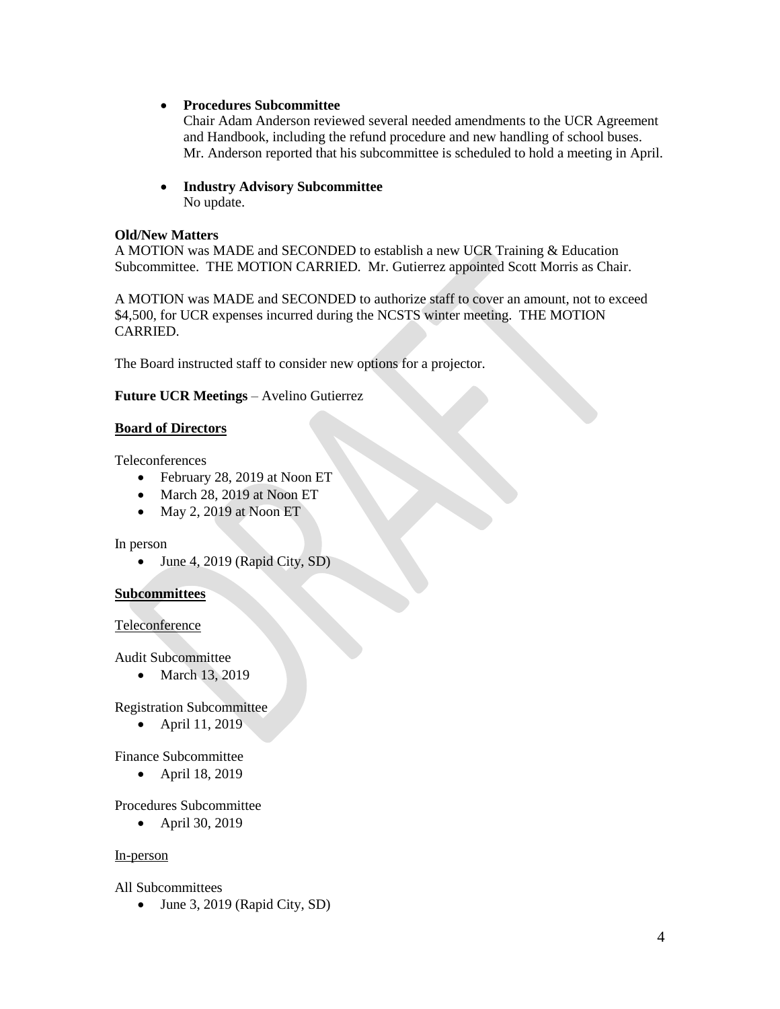**Procedures Subcommittee** 

Chair Adam Anderson reviewed several needed amendments to the UCR Agreement and Handbook, including the refund procedure and new handling of school buses. Mr. Anderson reported that his subcommittee is scheduled to hold a meeting in April.

 **Industry Advisory Subcommittee**  No update.

# **Old/New Matters**

A MOTION was MADE and SECONDED to establish a new UCR Training & Education Subcommittee. THE MOTION CARRIED. Mr. Gutierrez appointed Scott Morris as Chair.

A MOTION was MADE and SECONDED to authorize staff to cover an amount, not to exceed \$4,500, for UCR expenses incurred during the NCSTS winter meeting. THE MOTION CARRIED.

The Board instructed staff to consider new options for a projector.

# **Future UCR Meetings** – Avelino Gutierrez

# **Board of Directors**

Teleconferences

- February 28, 2019 at Noon ET
- March 28, 2019 at Noon ET
- $\bullet$  May 2, 2019 at Noon ET

#### In person

• June 4, 2019 (Rapid City, SD)

# **Subcommittees**

#### Teleconference

Audit Subcommittee

• March 13, 2019

Registration Subcommittee

• April 11, 2019

Finance Subcommittee

• April 18, 2019

Procedures Subcommittee

• April 30, 2019

#### In-person

All Subcommittees

• June 3, 2019 (Rapid City, SD)